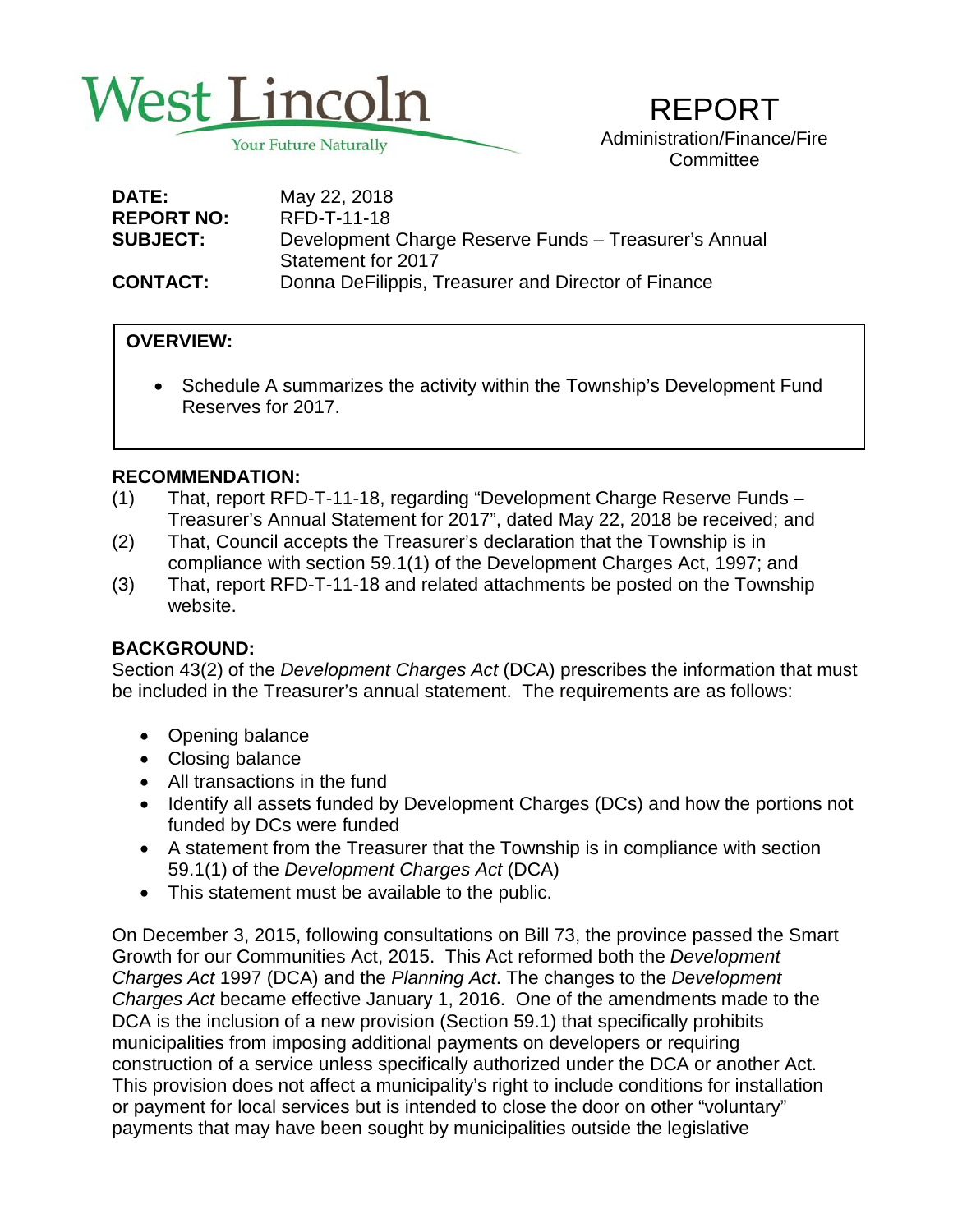

REPORT Administration/Finance/Fire **Committee** 

| <b>DATE:</b>      | May 22, 2018                                          |
|-------------------|-------------------------------------------------------|
| <b>REPORT NO:</b> | RFD-T-11-18                                           |
| <b>SUBJECT:</b>   | Development Charge Reserve Funds - Treasurer's Annual |
|                   | Statement for 2017                                    |
| <b>CONTACT:</b>   | Donna DeFilippis, Treasurer and Director of Finance   |

## **OVERVIEW:**

 • Schedule A summarizes the activity within the Township's Development Fund Reserves for 2017.

#### **RECOMMENDATION:**

- (1) That, report RFD-T-11-18, regarding "Development Charge Reserve Funds Treasurer's Annual Statement for 2017", dated May 22, 2018 be received; and
- (2) That, Council accepts the Treasurer's declaration that the Township is in compliance with section 59.1(1) of the Development Charges Act, 1997; and
- (3) That, report RFD-T-11-18 and related attachments be posted on the Township website.

#### **BACKGROUND:**

Section 43(2) of the *Development Charges Act* (DCA) prescribes the information that must be included in the Treasurer's annual statement. The requirements are as follows:

- Opening balance
- Closing balance
- All transactions in the fund
- Identify all assets funded by Development Charges (DCs) and how the portions not funded by DCs were funded
- A statement from the Treasurer that the Township is in compliance with section 59.1(1) of the *Development Charges Act* (DCA)
- This statement must be available to the public.

On December 3, 2015, following consultations on Bill 73, the province passed the Smart Growth for our Communities Act, 2015. This Act reformed both the *Development Charges Act* 1997 (DCA) and the *Planning Act*. The changes to the *Development Charges Act* became effective January 1, 2016. One of the amendments made to the DCA is the inclusion of a new provision (Section 59.1) that specifically prohibits municipalities from imposing additional payments on developers or requiring construction of a service unless specifically authorized under the DCA or another Act. This provision does not affect a municipality's right to include conditions for installation or payment for local services but is intended to close the door on other "voluntary" payments that may have been sought by municipalities outside the legislative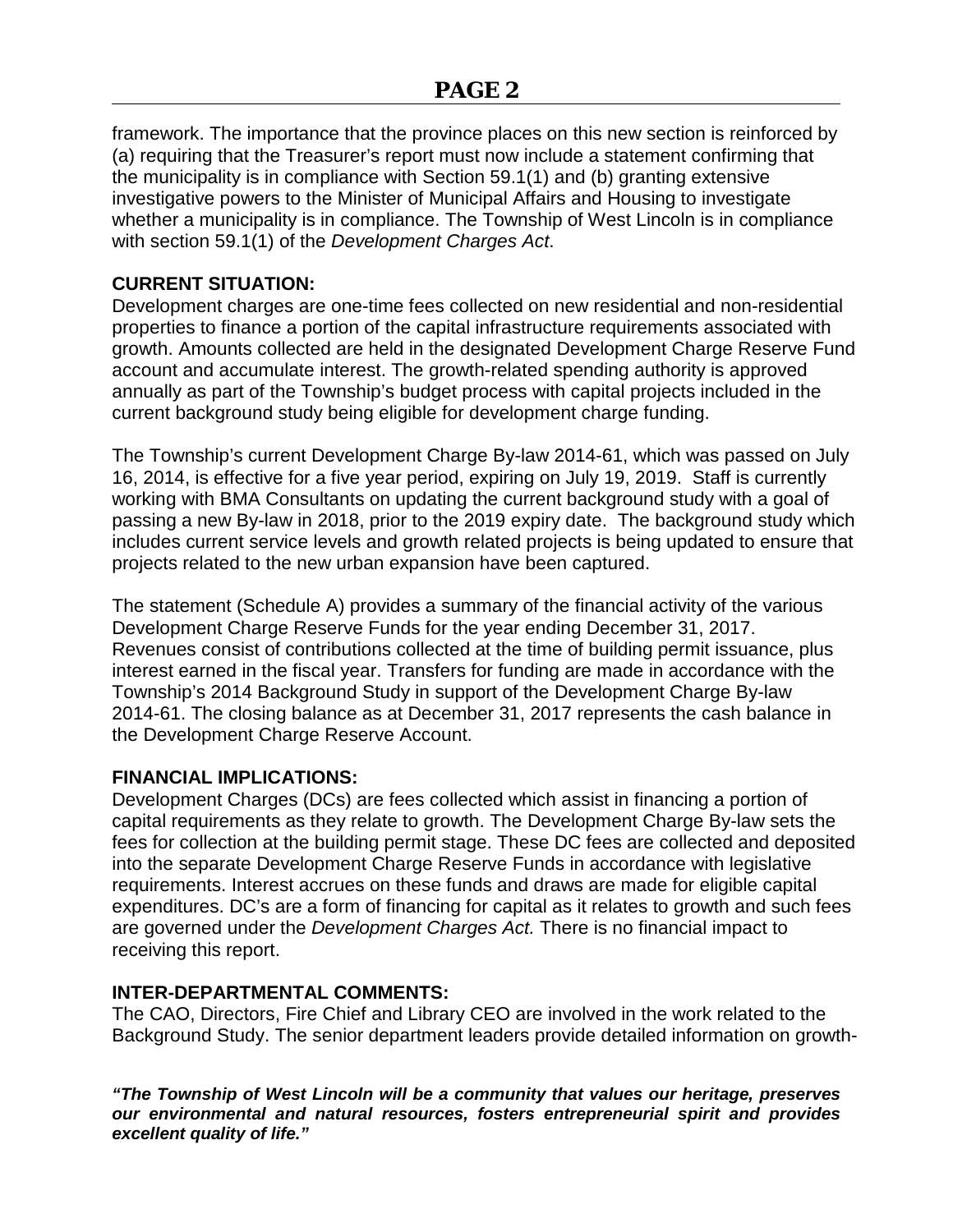framework. The importance that the province places on this new section is reinforced by (a) requiring that the Treasurer's report must now include a statement confirming that the municipality is in compliance with Section 59.1(1) and (b) granting extensive investigative powers to the Minister of Municipal Affairs and Housing to investigate whether a municipality is in compliance. The Township of West Lincoln is in compliance with section 59.1(1) of the *Development Charges Act*.

### **CURRENT SITUATION:**

Development charges are one-time fees collected on new residential and non-residential properties to finance a portion of the capital infrastructure requirements associated with growth. Amounts collected are held in the designated Development Charge Reserve Fund account and accumulate interest. The growth-related spending authority is approved annually as part of the Township's budget process with capital projects included in the current background study being eligible for development charge funding.

The Township's current Development Charge By-law 2014-61, which was passed on July 16, 2014, is effective for a five year period, expiring on July 19, 2019. Staff is currently working with BMA Consultants on updating the current background study with a goal of passing a new By-law in 2018, prior to the 2019 expiry date. The background study which includes current service levels and growth related projects is being updated to ensure that projects related to the new urban expansion have been captured.

The statement (Schedule A) provides a summary of the financial activity of the various Development Charge Reserve Funds for the year ending December 31, 2017. Revenues consist of contributions collected at the time of building permit issuance, plus interest earned in the fiscal year. Transfers for funding are made in accordance with the Township's 2014 Background Study in support of the Development Charge By-law 2014-61. The closing balance as at December 31, 2017 represents the cash balance in the Development Charge Reserve Account.

#### **FINANCIAL IMPLICATIONS:**

Development Charges (DCs) are fees collected which assist in financing a portion of capital requirements as they relate to growth. The Development Charge By-law sets the fees for collection at the building permit stage. These DC fees are collected and deposited into the separate Development Charge Reserve Funds in accordance with legislative requirements. Interest accrues on these funds and draws are made for eligible capital expenditures. DC's are a form of financing for capital as it relates to growth and such fees are governed under the *Development Charges Act.* There is no financial impact to receiving this report.

## **INTER-DEPARTMENTAL COMMENTS:**

The CAO, Directors, Fire Chief and Library CEO are involved in the work related to the Background Study. The senior department leaders provide detailed information on growth-

*"The Township of West Lincoln will be a community that values our heritage, preserves our environmental and natural resources, fosters entrepreneurial spirit and provides excellent quality of life."*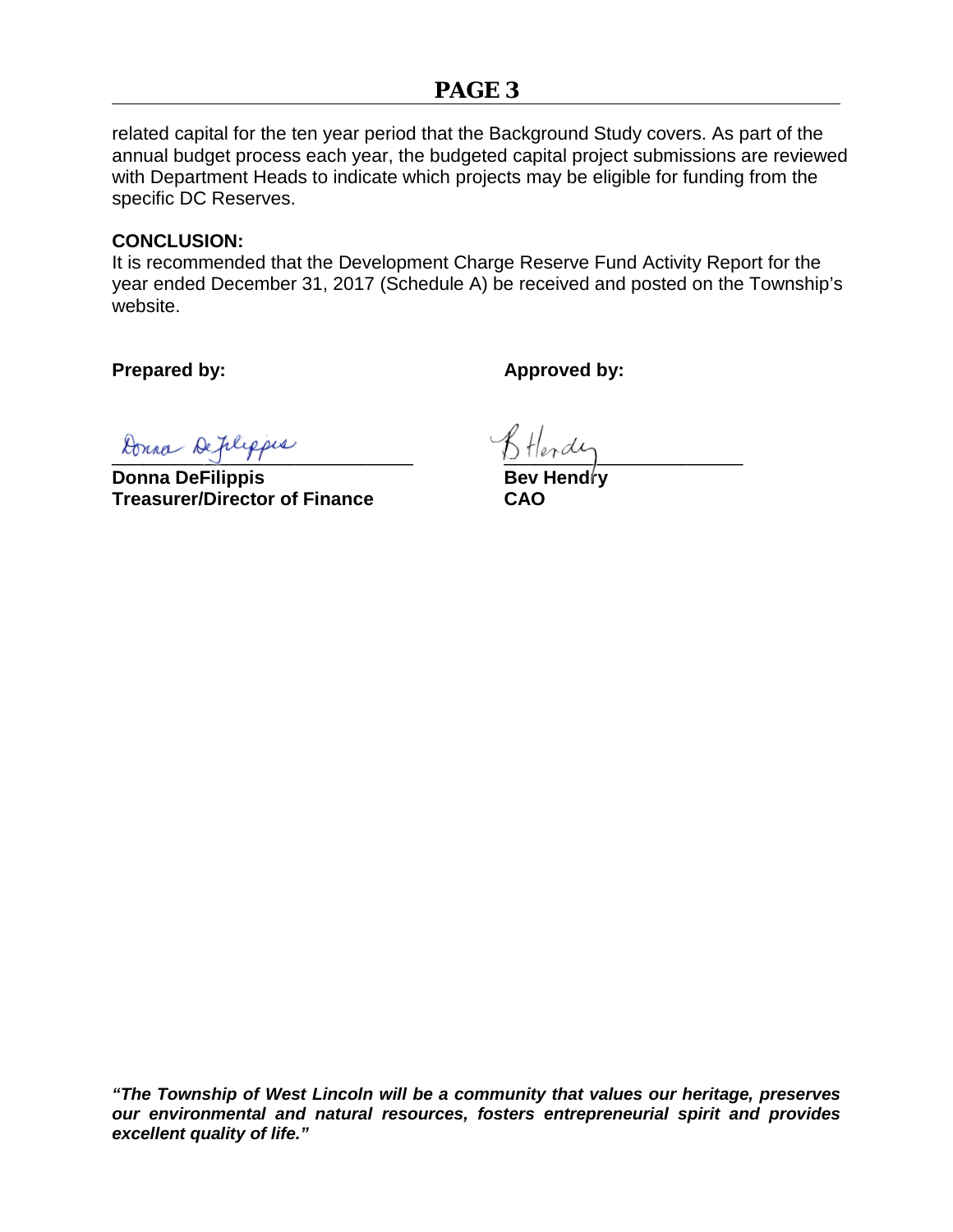# **PAGE 3**

related capital for the ten year period that the Background Study covers. As part of the annual budget process each year, the budgeted capital project submissions are reviewed with Department Heads to indicate which projects may be eligible for funding from the specific DC Reserves.

#### **CONCLUSION:**

It is recommended that the Development Charge Reserve Fund Activity Report for the year ended December 31, 2017 (Schedule A) be received and posted on the Township's website.

**Prepared by: Approved by: Approved by:** 

 $\normalsize \texttt{Rona} \texttt{Defile} \texttt{p} \texttt{is} \texttt{S} \texttt{H} \texttt{end} \texttt{is}$ 

**Donna DeFilippis Bev Hendry Treasurer/Director of Finance CAO**

*"The Township of West Lincoln will be a community that values our heritage, preserves our environmental and natural resources, fosters entrepreneurial spirit and provides excellent quality of life."*